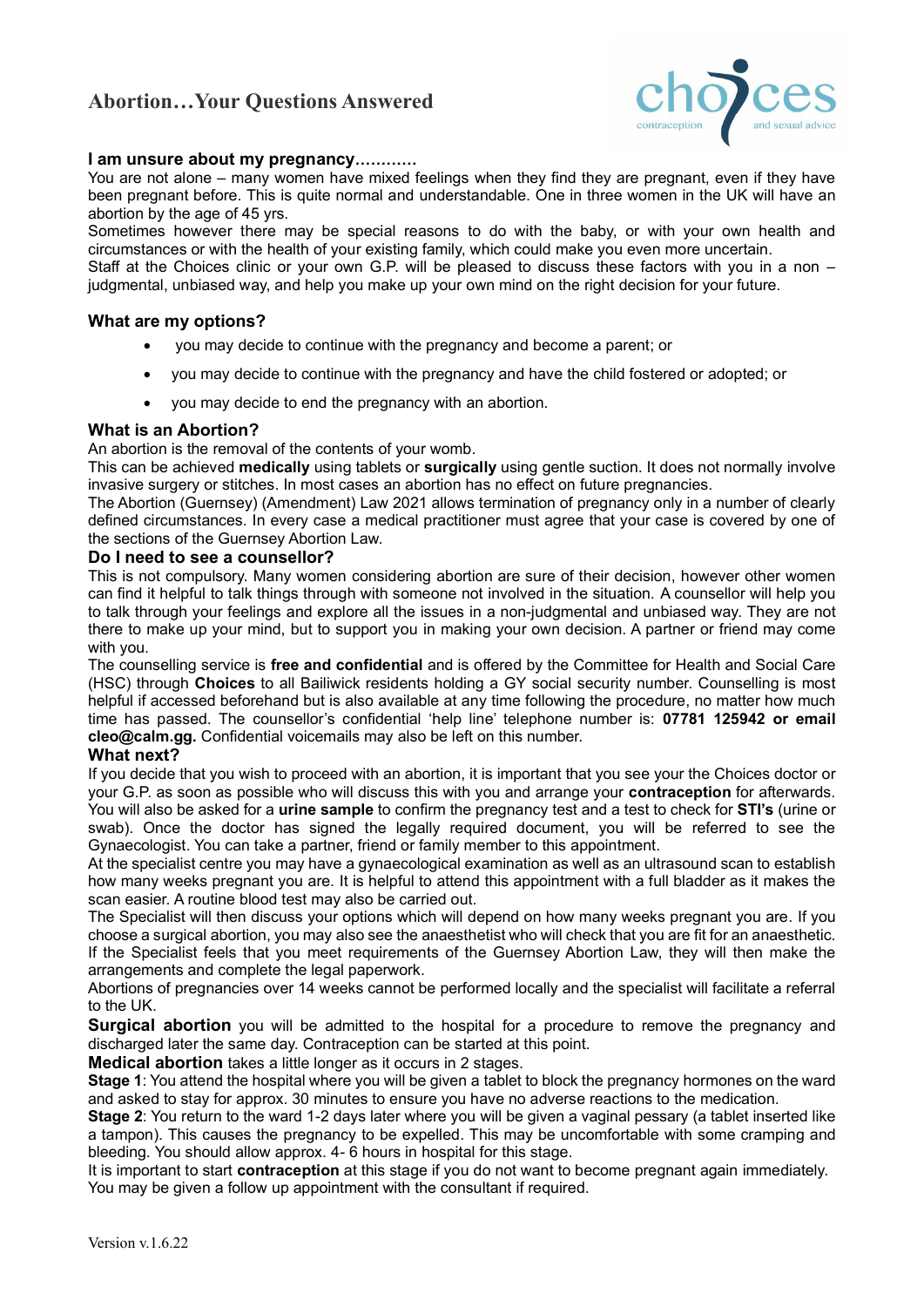# **Abortion…Your Questions Answered**



#### **I am unsure about my pregnancy…………**

You are not alone – many women have mixed feelings when they find they are pregnant, even if they have been pregnant before. This is quite normal and understandable. One in three women in the UK will have an abortion by the age of 45 yrs.

Sometimes however there may be special reasons to do with the baby, or with your own health and circumstances or with the health of your existing family, which could make you even more uncertain.

Staff at the Choices clinic or your own G.P. will be pleased to discuss these factors with you in a non – judgmental, unbiased way, and help you make up your own mind on the right decision for your future.

#### **What are my options?**

- you may decide to continue with the pregnancy and become a parent; or
- you may decide to continue with the pregnancy and have the child fostered or adopted; or
- you may decide to end the pregnancy with an abortion.

#### **What is an Abortion?**

An abortion is the removal of the contents of your womb.

This can be achieved **medically** using tablets or **surgically** using gentle suction. It does not normally involve invasive surgery or stitches. In most cases an abortion has no effect on future pregnancies.

The Abortion (Guernsey) (Amendment) Law 2021 allows termination of pregnancy only in a number of clearly defined circumstances. In every case a medical practitioner must agree that your case is covered by one of the sections of the Guernsey Abortion Law.

#### **Do I need to see a counsellor?**

This is not compulsory. Many women considering abortion are sure of their decision, however other women can find it helpful to talk things through with someone not involved in the situation. A counsellor will help you to talk through your feelings and explore all the issues in a non-judgmental and unbiased way. They are not there to make up your mind, but to support you in making your own decision. A partner or friend may come with you.

The counselling service is **free and confidential** and is offered by the Committee for Health and Social Care (HSC) through **Choices** to all Bailiwick residents holding a GY social security number. Counselling is most helpful if accessed beforehand but is also available at any time following the procedure, no matter how much time has passed. The counsellor's confidential 'help line' telephone number is: **07781 125942 or email cleo@calm.gg.** Confidential voicemails may also be left on this number.

# **What next?**

If you decide that you wish to proceed with an abortion, it is important that you see your the Choices doctor or your G.P. as soon as possible who will discuss this with you and arrange your **contraception** for afterwards. You will also be asked for a **urine sample** to confirm the pregnancy test and a test to check for **STI's** (urine or swab). Once the doctor has signed the legally required document, you will be referred to see the Gynaecologist. You can take a partner, friend or family member to this appointment.

At the specialist centre you may have a gynaecological examination as well as an ultrasound scan to establish how many weeks pregnant you are. It is helpful to attend this appointment with a full bladder as it makes the scan easier. A routine blood test may also be carried out.

The Specialist will then discuss your options which will depend on how many weeks pregnant you are. If you choose a surgical abortion, you may also see the anaesthetist who will check that you are fit for an anaesthetic. If the Specialist feels that you meet requirements of the Guernsey Abortion Law, they will then make the arrangements and complete the legal paperwork.

Abortions of pregnancies over 14 weeks cannot be performed locally and the specialist will facilitate a referral to the UK.

**Surgical abortion** you will be admitted to the hospital for a procedure to remove the pregnancy and discharged later the same day. Contraception can be started at this point.

**Medical abortion** takes a little longer as it occurs in 2 stages.

**Stage 1**: You attend the hospital where you will be given a tablet to block the pregnancy hormones on the ward and asked to stay for approx. 30 minutes to ensure you have no adverse reactions to the medication.

**Stage 2**: You return to the ward 1-2 days later where you will be given a vaginal pessary (a tablet inserted like a tampon). This causes the pregnancy to be expelled. This may be uncomfortable with some cramping and bleeding. You should allow approx. 4- 6 hours in hospital for this stage.

It is important to start **contraception** at this stage if you do not want to become pregnant again immediately. You may be given a follow up appointment with the consultant if required.